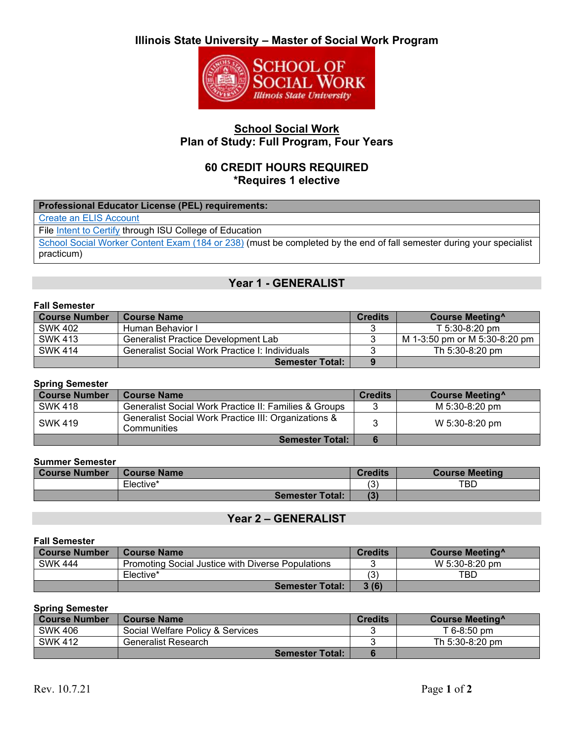# **Illinois State University – Master of Social Work Program**



## **School Social Work Plan of Study: Full Program, Four Years**

## **60 CREDIT HOURS REQUIRED \*Requires 1 elective**

| Professional Educator License (PEL) requirements:                                                                    |
|----------------------------------------------------------------------------------------------------------------------|
| <b>Create an ELIS Account</b>                                                                                        |
| File Intent to Certify through ISU College of Education                                                              |
| School Social Worker Content Exam (184 or 238) (must be completed by the end of fall semester during your specialist |
| practicum)                                                                                                           |

# **Year 1 - GENERALIST**

### **Fall Semester**

| <b>Course Number</b> | <b>Course Name</b>                             | <b>Credits</b> | <b>Course Meeting</b>         |
|----------------------|------------------------------------------------|----------------|-------------------------------|
| SWK 402              | Human Behavior I                               |                | $T$ 5:30-8:20 pm              |
| <b>SWK 413</b>       | Generalist Practice Development Lab            |                | M 1-3:50 pm or M 5:30-8:20 pm |
| <b>SWK 414</b>       | Generalist Social Work Practice I: Individuals |                | Th 5:30-8:20 pm               |
|                      | <b>Semester Total:</b>                         | 9              |                               |

### **Spring Semester**

| <b>Course Number</b> | <b>Course Name</b>                                                  | <b>Credits</b> | Course Meeting <sup>^</sup> |
|----------------------|---------------------------------------------------------------------|----------------|-----------------------------|
| <b>SWK 418</b>       | Generalist Social Work Practice II: Families & Groups               | 2              | M 5:30-8:20 pm              |
| <b>SWK 419</b>       | Generalist Social Work Practice III: Organizations &<br>Communities |                | W 5:30-8:20 pm              |
|                      | <b>Semester Total:</b>                                              |                |                             |

### **Summer Semester**

| Course Number | <b>Course Name</b>     | <b>Credits</b> | <b>Course Meeting</b> |
|---------------|------------------------|----------------|-----------------------|
|               | Elective*              | ′ ຕ<br>C.      | TBD                   |
|               | <b>Semester Total:</b> | (3)            |                       |

## **Year 2 – GENERALIST**

| <b>Fall Semester</b> |                                                   |                |                       |
|----------------------|---------------------------------------------------|----------------|-----------------------|
| <b>Course Number</b> | <b>Course Name</b>                                | <b>Credits</b> | <b>Course Meeting</b> |
| <b>SWK 444</b>       | Promoting Social Justice with Diverse Populations |                | W 5:30-8:20 pm        |
|                      | Elective*                                         | (3)            | TBD                   |
|                      | <b>Semester Total:</b>                            | 3(6)           |                       |

### **Spring Semester**

| <b>Course Number</b> | <b>Course Name</b>               | Credits | Course Meeting <sup>^</sup> |
|----------------------|----------------------------------|---------|-----------------------------|
| <b>SWK 406</b>       | Social Welfare Policy & Services |         | T 6-8:50 pm                 |
| <b>SWK 412</b>       | Generalist Research              |         | Th 5:30-8:20 pm             |
|                      | <b>Semester Total:</b>           |         |                             |